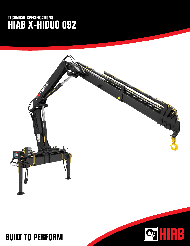## **TECHNICAL SPECIFICATIONS HIAB X-HIDUO 092**



HIAB

**CG** 

## **BUILT TO PERFORM**